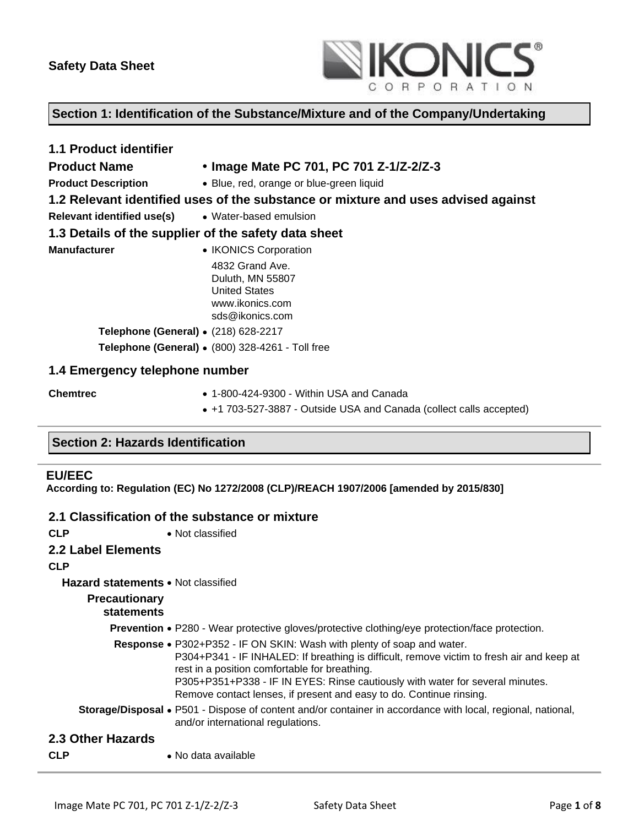

## **Section 1: Identification of the Substance/Mixture and of the Company/Undertaking**

| <b>1.1 Product identifier</b>                        |                                                                                                   |
|------------------------------------------------------|---------------------------------------------------------------------------------------------------|
| <b>Product Name</b>                                  | • Image Mate PC 701, PC 701 Z-1/Z-2/Z-3                                                           |
| <b>Product Description</b>                           | • Blue, red, orange or blue-green liquid                                                          |
|                                                      | 1.2 Relevant identified uses of the substance or mixture and uses advised against                 |
| <b>Relevant identified use(s)</b>                    | • Water-based emulsion                                                                            |
| 1.3 Details of the supplier of the safety data sheet |                                                                                                   |
| <b>Manufacturer</b>                                  | • IKONICS Corporation                                                                             |
|                                                      | 4832 Grand Ave.<br>Duluth, MN 55807<br><b>United States</b><br>www.ikonics.com<br>sds@ikonics.com |
| Telephone (General) • (218) 628-2217                 |                                                                                                   |
|                                                      | Telephone (General) • (800) 328-4261 - Toll free                                                  |
| 1.4 Emergency telephone number                       |                                                                                                   |
| <b>Chemtrec</b>                                      | $\bullet$ 1-800-424-9300 - Within USA and Canada                                                  |
|                                                      | • +1 703-527-3887 - Outside USA and Canada (collect calls accepted)                               |

## **Section 2: Hazards Identification**

## **EU/EEC**

**According to: Regulation (EC) No 1272/2008 (CLP)/REACH 1907/2006 [amended by 2015/830]**

## **2.1 Classification of the substance or mixture**

| <b>CLP</b>                                | • Not classified                                                                                                                                                                                                                                                                                                                                                             |
|-------------------------------------------|------------------------------------------------------------------------------------------------------------------------------------------------------------------------------------------------------------------------------------------------------------------------------------------------------------------------------------------------------------------------------|
| 2.2 Label Elements                        |                                                                                                                                                                                                                                                                                                                                                                              |
| <b>CLP</b>                                |                                                                                                                                                                                                                                                                                                                                                                              |
| <b>Hazard statements • Not classified</b> |                                                                                                                                                                                                                                                                                                                                                                              |
| <b>Precautionary</b><br><b>statements</b> |                                                                                                                                                                                                                                                                                                                                                                              |
|                                           | <b>Prevention •</b> P280 - Wear protective gloves/protective clothing/eye protection/face protection.                                                                                                                                                                                                                                                                        |
|                                           | Response • P302+P352 - IF ON SKIN: Wash with plenty of soap and water.<br>P304+P341 - IF INHALED: If breathing is difficult, remove victim to fresh air and keep at<br>rest in a position comfortable for breathing.<br>P305+P351+P338 - IF IN EYES: Rinse cautiously with water for several minutes.<br>Remove contact lenses, if present and easy to do. Continue rinsing. |
|                                           | <b>Storage/Disposal •</b> P501 - Dispose of content and/or container in accordance with local, regional, national,<br>and/or international regulations.                                                                                                                                                                                                                      |
| 2.3 Other Hazards                         |                                                                                                                                                                                                                                                                                                                                                                              |
| <b>CLP</b>                                | • No data available                                                                                                                                                                                                                                                                                                                                                          |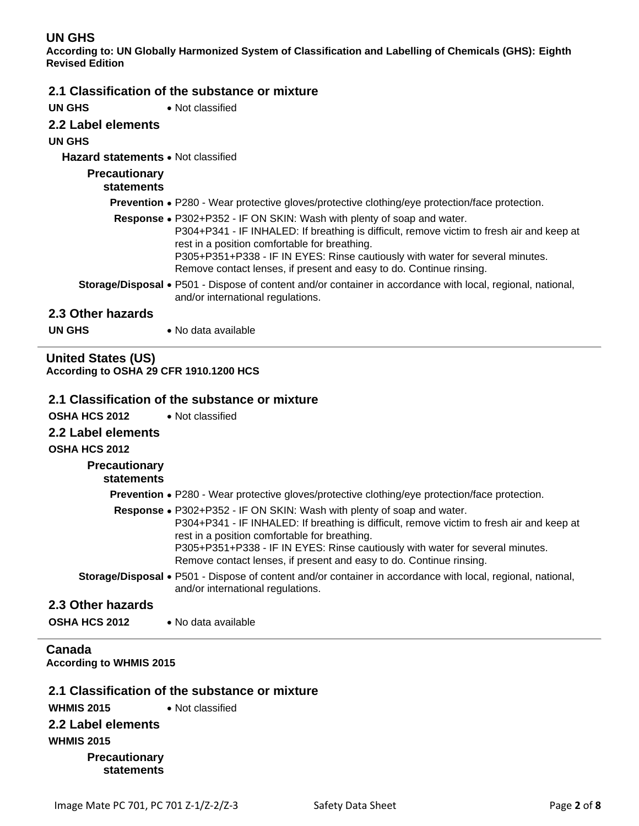# **UN GHS**

**According to: UN Globally Harmonized System of Classification and Labelling of Chemicals (GHS): Eighth Revised Edition**

# **2.1 Classification of the substance or mixture**

| <b>UN GHS</b> | • Not classified |
|---------------|------------------|
|               |                  |

## **2.2 Label elements**

## **UN GHS**

### **Hazard statements** • Not classified

| <b>Precautionary</b><br>statements |                                                                                                                                                                                                                                                                                                                                                                              |
|------------------------------------|------------------------------------------------------------------------------------------------------------------------------------------------------------------------------------------------------------------------------------------------------------------------------------------------------------------------------------------------------------------------------|
|                                    | <b>Prevention •</b> P280 - Wear protective gloves/protective clothing/eye protection/face protection.                                                                                                                                                                                                                                                                        |
|                                    | Response • P302+P352 - IF ON SKIN: Wash with plenty of soap and water.<br>P304+P341 - IF INHALED: If breathing is difficult, remove victim to fresh air and keep at<br>rest in a position comfortable for breathing.<br>P305+P351+P338 - IF IN EYES: Rinse cautiously with water for several minutes.<br>Remove contact lenses, if present and easy to do. Continue rinsing. |
|                                    | Storage/Disposal • P501 - Dispose of content and/or container in accordance with local, regional, national,<br>and/or international regulations.                                                                                                                                                                                                                             |
| 2.3 Other hazards                  |                                                                                                                                                                                                                                                                                                                                                                              |
| <b>UN GHS</b>                      | • No data available                                                                                                                                                                                                                                                                                                                                                          |

## **United States (US) According to OSHA 29 CFR 1910.1200 HCS**

## **2.1 Classification of the substance or mixture**

| OSHA HCS 2012<br>2.2 Label elements<br><b>OSHA HCS 2012</b><br><b>Precautionary</b><br>statements | • Not classified                                                                                                                                                                                                                                                                                                                                                             |
|---------------------------------------------------------------------------------------------------|------------------------------------------------------------------------------------------------------------------------------------------------------------------------------------------------------------------------------------------------------------------------------------------------------------------------------------------------------------------------------|
|                                                                                                   | <b>Prevention •</b> P280 - Wear protective gloves/protective clothing/eye protection/face protection.                                                                                                                                                                                                                                                                        |
|                                                                                                   | Response • P302+P352 - IF ON SKIN: Wash with plenty of soap and water.<br>P304+P341 - IF INHALED: If breathing is difficult, remove victim to fresh air and keep at<br>rest in a position comfortable for breathing.<br>P305+P351+P338 - IF IN EYES: Rinse cautiously with water for several minutes.<br>Remove contact lenses, if present and easy to do. Continue rinsing. |
|                                                                                                   | <b>Storage/Disposal •</b> P501 - Dispose of content and/or container in accordance with local, regional, national,<br>and/or international regulations.                                                                                                                                                                                                                      |
| 2.3 Other hazards                                                                                 |                                                                                                                                                                                                                                                                                                                                                                              |
| <b>OSHA HCS 2012</b>                                                                              | • No data available                                                                                                                                                                                                                                                                                                                                                          |
|                                                                                                   |                                                                                                                                                                                                                                                                                                                                                                              |

## **Canada According to WHMIS 2015**

# **2.1 Classification of the substance or mixture**

| <b>WHMIS 2015</b>    | $\bullet$ Not classified |
|----------------------|--------------------------|
| 2.2 Label elements   |                          |
| <b>WHMIS 2015</b>    |                          |
| <b>Precautionary</b> |                          |
| <b>statements</b>    |                          |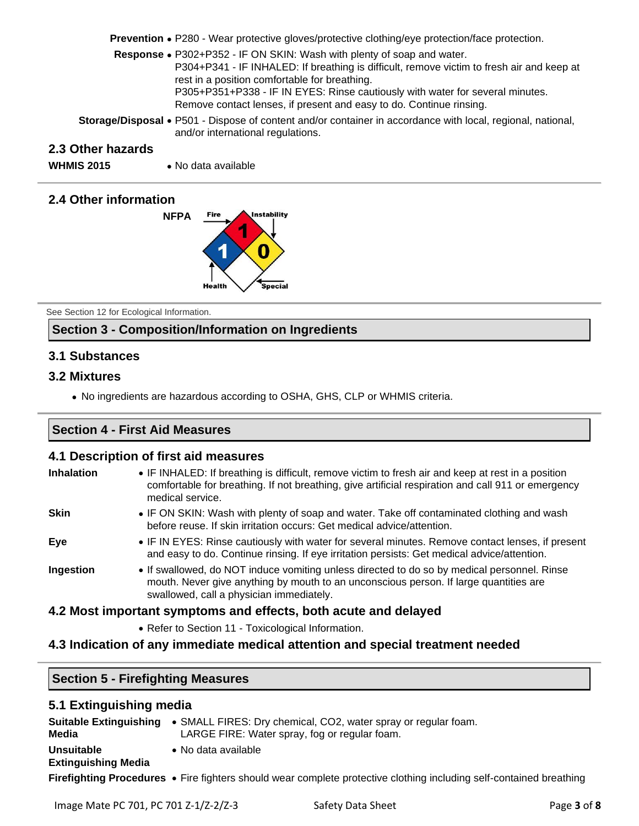**Prevention** • P280 - Wear protective gloves/protective clothing/eye protection/face protection.

- **Response** P302+P352 IF ON SKIN: Wash with plenty of soap and water. P304+P341 - IF INHALED: If breathing is difficult, remove victim to fresh air and keep at rest in a position comfortable for breathing. P305+P351+P338 - IF IN EYES: Rinse cautiously with water for several minutes. Remove contact lenses, if present and easy to do. Continue rinsing.
- **Storage/Disposal** P501 Dispose of content and/or container in accordance with local, regional, national, and/or international regulations.

## **2.3 Other hazards**

**WHMIS 2015** • No data available

## **2.4 Other information**



See Section 12 for Ecological Information.

# **Section 3 - Composition/Information on Ingredients**

## **3.1 Substances**

## **3.2 Mixtures**

• No ingredients are hazardous according to OSHA, GHS, CLP or WHMIS criteria.

## **Section 4 - First Aid Measures**

### **4.1 Description of first aid measures**

| <b>Inhalation</b> | • IF INHALED: If breathing is difficult, remove victim to fresh air and keep at rest in a position<br>comfortable for breathing. If not breathing, give artificial respiration and call 911 or emergency<br>medical service.     |
|-------------------|----------------------------------------------------------------------------------------------------------------------------------------------------------------------------------------------------------------------------------|
| <b>Skin</b>       | • IF ON SKIN: Wash with plenty of soap and water. Take off contaminated clothing and wash<br>before reuse. If skin irritation occurs: Get medical advice/attention.                                                              |
| Eye               | • IF IN EYES: Rinse cautiously with water for several minutes. Remove contact lenses, if present<br>and easy to do. Continue rinsing. If eye irritation persists: Get medical advice/attention.                                  |
| Ingestion         | • If swallowed, do NOT induce vomiting unless directed to do so by medical personnel. Rinse<br>mouth. Never give anything by mouth to an unconscious person. If large quantities are<br>swallowed, call a physician immediately. |
|                   | 4.2 Most important symptoms and effects, both acute and delayed                                                                                                                                                                  |
|                   | • Refer to Section 11 - Toxicological Information.                                                                                                                                                                               |

## **4.3 Indication of any immediate medical attention and special treatment needed**

## **Section 5 - Firefighting Measures**

# **5.1 Extinguishing media**

| <b>Suitable Extinguishing</b><br>Media          | • SMALL FIRES: Dry chemical, CO2, water spray or regular foam.<br>LARGE FIRE: Water spray, fog or regular foam.     |
|-------------------------------------------------|---------------------------------------------------------------------------------------------------------------------|
| <b>Unsuitable</b><br><b>Extinguishing Media</b> | • No data available                                                                                                 |
|                                                 | Firefighting Procedures • Fire fighters should wear complete protective clothing including self-contained breathing |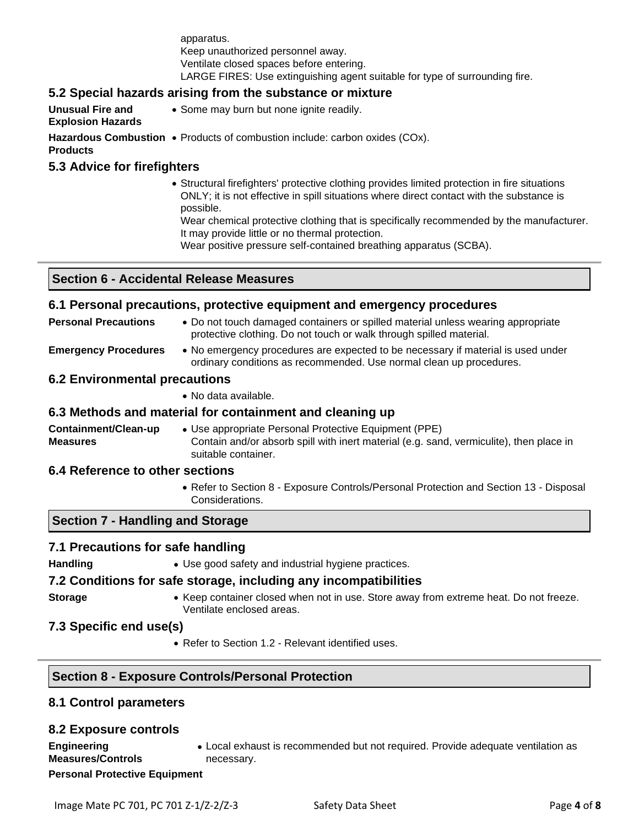apparatus. Keep unauthorized personnel away. Ventilate closed spaces before entering. LARGE FIRES: Use extinguishing agent suitable for type of surrounding fire.

## **5.2 Special hazards arising from the substance or mixture**

**Unusual Fire and Explosion Hazards** • Some may burn but none ignite readily. **Hazardous Combustion**  • Products of combustion include: carbon oxides (COx). **Products**

### **5.3 Advice for firefighters**

• Structural firefighters' protective clothing provides limited protection in fire situations ONLY; it is not effective in spill situations where direct contact with the substance is possible.

Wear chemical protective clothing that is specifically recommended by the manufacturer. It may provide little or no thermal protection.

Wear positive pressure self-contained breathing apparatus (SCBA).

## **Section 6 - Accidental Release Measures**

### **6.1 Personal precautions, protective equipment and emergency procedures**

- **Personal Precautions** Do not touch damaged containers or spilled material unless wearing appropriate protective clothing. Do not touch or walk through spilled material.
- **Emergency Procedures** No emergency procedures are expected to be necessary if material is used under ordinary conditions as recommended. Use normal clean up procedures.

### **6.2 Environmental precautions**

• No data available.

#### **6.3 Methods and material for containment and cleaning up**

**Containment/Clean-up Measures** • Use appropriate Personal Protective Equipment (PPE) Contain and/or absorb spill with inert material (e.g. sand, vermiculite), then place in suitable container.

### **6.4 Reference to other sections**

• Refer to Section 8 - Exposure Controls/Personal Protection and Section 13 - Disposal Considerations.

## **Section 7 - Handling and Storage**

### **7.1 Precautions for safe handling**

Handling **• Use good safety and industrial hygiene practices.** 

#### **7.2 Conditions for safe storage, including any incompatibilities**

- 
- **Storage** Keep container closed when not in use. Store away from extreme heat. Do not freeze. Ventilate enclosed areas.

#### **7.3 Specific end use(s)**

• Refer to Section 1.2 - Relevant identified uses.

## **Section 8 - Exposure Controls/Personal Protection**

## **8.1 Control parameters**

#### **8.2 Exposure controls**

**Engineering Measures/Controls** • Local exhaust is recommended but not required. Provide adequate ventilation as necessary.

**Personal Protective Equipment**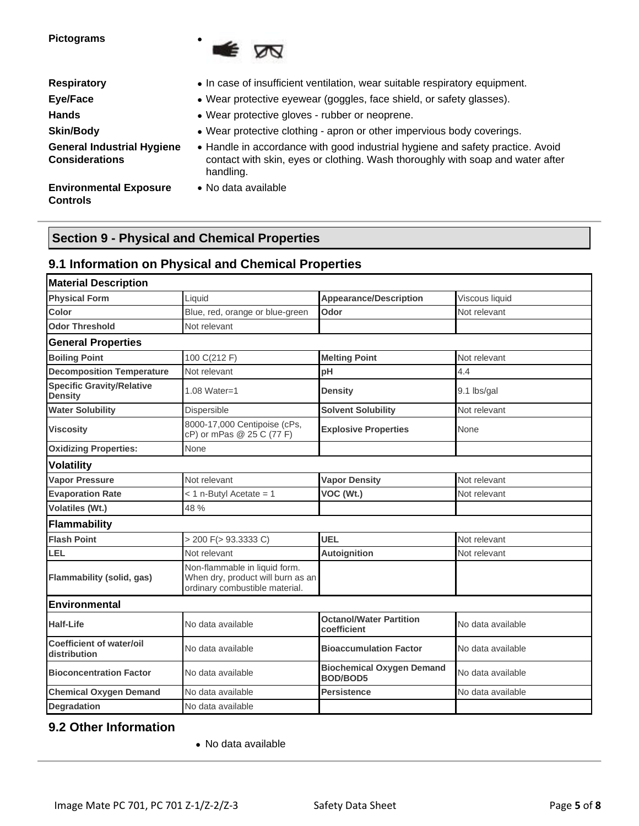**Pictograms** •



| <b>Respiratory</b>                                         | • In case of insufficient ventilation, wear suitable respiratory equipment.                                                                                                   |  |  |
|------------------------------------------------------------|-------------------------------------------------------------------------------------------------------------------------------------------------------------------------------|--|--|
| Eye/Face                                                   | • Wear protective eyewear (goggles, face shield, or safety glasses).                                                                                                          |  |  |
| <b>Hands</b>                                               | • Wear protective gloves - rubber or neoprene.                                                                                                                                |  |  |
| <b>Skin/Body</b>                                           | • Wear protective clothing - apron or other impervious body coverings.                                                                                                        |  |  |
| <b>General Industrial Hygiene</b><br><b>Considerations</b> | • Handle in accordance with good industrial hygiene and safety practice. Avoid<br>contact with skin, eyes or clothing. Wash thoroughly with soap and water after<br>handling. |  |  |

**Environmental Exposure**  • No data available **Controls**

# **Section 9 - Physical and Chemical Properties**

## **9.1 Information on Physical and Chemical Properties**

| <b>Material Description</b>                        |                                                                                                      |                                                     |                   |
|----------------------------------------------------|------------------------------------------------------------------------------------------------------|-----------------------------------------------------|-------------------|
| <b>Physical Form</b>                               | Liquid                                                                                               | <b>Appearance/Description</b>                       | Viscous liquid    |
| Color                                              | Blue, red, orange or blue-green                                                                      | Odor                                                | Not relevant      |
| <b>Odor Threshold</b>                              | Not relevant                                                                                         |                                                     |                   |
| <b>General Properties</b>                          |                                                                                                      |                                                     |                   |
| <b>Boiling Point</b>                               | 100 C(212 F)                                                                                         | <b>Melting Point</b>                                | Not relevant      |
| <b>Decomposition Temperature</b>                   | Not relevant                                                                                         | pH                                                  | 4.4               |
| <b>Specific Gravity/Relative</b><br><b>Density</b> | 1.08 Water=1                                                                                         | <b>Density</b>                                      | 9.1 lbs/gal       |
| <b>Water Solubility</b>                            | Dispersible                                                                                          | <b>Solvent Solubility</b>                           | Not relevant      |
| <b>Viscosity</b>                                   | 8000-17,000 Centipoise (cPs,<br>cP) or mPas @ 25 C (77 F)                                            | <b>Explosive Properties</b>                         | None              |
| <b>Oxidizing Properties:</b>                       | None                                                                                                 |                                                     |                   |
| <b>Volatility</b>                                  |                                                                                                      |                                                     |                   |
| <b>Vapor Pressure</b>                              | Not relevant                                                                                         | <b>Vapor Density</b>                                | Not relevant      |
| <b>Evaporation Rate</b>                            | < 1 n-Butyl Acetate = 1                                                                              | VOC (Wt.)                                           | Not relevant      |
| <b>Volatiles (Wt.)</b>                             | 48 %                                                                                                 |                                                     |                   |
| Flammability                                       |                                                                                                      |                                                     |                   |
| <b>Flash Point</b>                                 | > 200 F(> 93.3333 C)                                                                                 | <b>UEL</b>                                          | Not relevant      |
| LEL                                                | Not relevant                                                                                         | <b>Autoignition</b>                                 | Not relevant      |
| <b>Flammability (solid, gas)</b>                   | Non-flammable in liquid form.<br>When dry, product will burn as an<br>ordinary combustible material. |                                                     |                   |
| <b>Environmental</b>                               |                                                                                                      |                                                     |                   |
| <b>Half-Life</b>                                   | No data available                                                                                    | <b>Octanol/Water Partition</b><br>coefficient       | No data available |
| <b>Coefficient of water/oil</b><br>distribution    | No data available                                                                                    | <b>Bioaccumulation Factor</b>                       | No data available |
| <b>Bioconcentration Factor</b>                     | No data available                                                                                    | <b>Biochemical Oxygen Demand</b><br><b>BOD/BOD5</b> | No data available |
| <b>Chemical Oxygen Demand</b>                      | No data available                                                                                    | <b>Persistence</b>                                  | No data available |
| <b>Degradation</b>                                 | No data available                                                                                    |                                                     |                   |

# **9.2 Other Information**

• No data available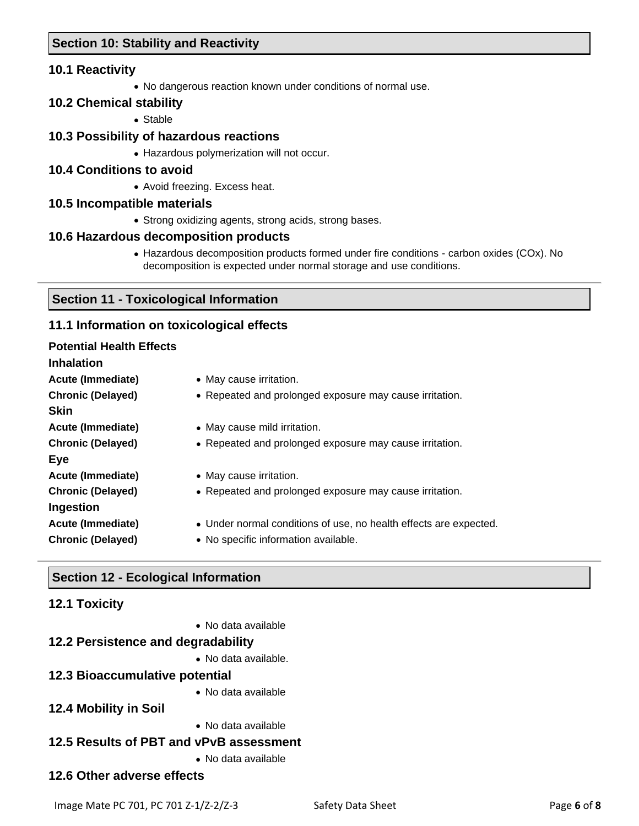## **Section 10: Stability and Reactivity**

## **10.1 Reactivity**

• No dangerous reaction known under conditions of normal use.

## **10.2 Chemical stability**

• Stable

## **10.3 Possibility of hazardous reactions**

• Hazardous polymerization will not occur.

### **10.4 Conditions to avoid**

• Avoid freezing. Excess heat.

### **10.5 Incompatible materials**

• Strong oxidizing agents, strong acids, strong bases.

### **10.6 Hazardous decomposition products**

• Hazardous decomposition products formed under fire conditions - carbon oxides (COx). No decomposition is expected under normal storage and use conditions.

## **Section 11 - Toxicological Information**

## **11.1 Information on toxicological effects**

### **Potential Health Effects**

### **Inhalation**

**Acute (Immediate)** • May cause irritation. **Chronic (Delayed)** • Repeated and prolonged exposure may cause irritation. **Skin Acute (Immediate)** • May cause mild irritation. **Chronic (Delayed)** • Repeated and prolonged exposure may cause irritation. **Eye Acute (Immediate)** • May cause irritation. **Chronic (Delayed)** • Repeated and prolonged exposure may cause irritation. **Ingestion Acute (Immediate)** • Under normal conditions of use, no health effects are expected. **Chronic (Delayed)** • No specific information available.

## **Section 12 - Ecological Information**

## **12.1 Toxicity**

• No data available

## **12.2 Persistence and degradability**

• No data available.

## **12.3 Bioaccumulative potential**

• No data available

## **12.4 Mobility in Soil**

• No data available

## **12.5 Results of PBT and vPvB assessment**

• No data available

## **12.6 Other adverse effects**

Image Mate PC 701, PC 701 Z-1/Z-2/Z-3 Safety Data Sheet Page 6 of 8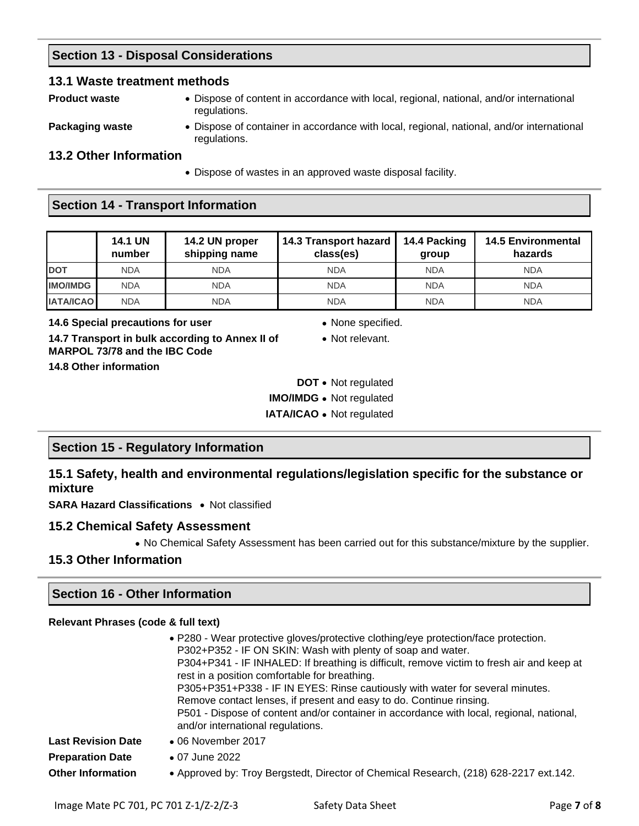# **Section 13 - Disposal Considerations**

### **13.1 Waste treatment methods**

**Product waste** • Dispose of content in accordance with local, regional, national, and/or international regulations.

**Packaging waste** • Dispose of container in accordance with local, regional, national, and/or international regulations.

## **13.2 Other Information**

• Dispose of wastes in an approved waste disposal facility.

## **Section 14 - Transport Information**

|                  | <b>14.1 UN</b><br>number | 14.2 UN proper<br>shipping name | 14.3 Transport hazard<br>class(es) | 14.4 Packing<br>group | <b>14.5 Environmental</b><br>hazards |
|------------------|--------------------------|---------------------------------|------------------------------------|-----------------------|--------------------------------------|
| <b>DOT</b>       | <b>NDA</b>               | <b>NDA</b>                      | <b>NDA</b>                         | <b>NDA</b>            | <b>NDA</b>                           |
| <b>IMO/IMDG</b>  | <b>NDA</b>               | <b>NDA</b>                      | <b>NDA</b>                         | <b>NDA</b>            | <b>NDA</b>                           |
| <b>IATA/ICAO</b> | <b>NDA</b>               | <b>NDA</b>                      | <b>NDA</b>                         | <b>NDA</b>            | <b>NDA</b>                           |

**14.6 Special precautions for user 14.6 Special precautions for user** 

**14.7 Transport in bulk according to Annex II of MARPOL 73/78 and the IBC Code**

• Not relevant.

**14.8 Other information**

- **DOT** Not regulated
- **IMO/IMDG** Not regulated
- **IATA/ICAO** Not regulated

## **Section 15 - Regulatory Information**

**15.1 Safety, health and environmental regulations/legislation specific for the substance or mixture**

**SARA Hazard Classifications** • Not classified

## **15.2 Chemical Safety Assessment**

• No Chemical Safety Assessment has been carried out for this substance/mixture by the supplier.

## **15.3 Other Information**

## **Section 16 - Other Information**

#### **Relevant Phrases (code & full text)**

| • P280 - Wear protective gloves/protective clothing/eye protection/face protection.<br>P302+P352 - IF ON SKIN: Wash with plenty of soap and water.<br>P304+P341 - IF INHALED: If breathing is difficult, remove victim to fresh air and keep at<br>rest in a position comfortable for breathing.<br>P305+P351+P338 - IF IN EYES: Rinse cautiously with water for several minutes.<br>Remove contact lenses, if present and easy to do. Continue rinsing.<br>P501 - Dispose of content and/or container in accordance with local, regional, national,<br>and/or international regulations. |                                                                                       |
|-------------------------------------------------------------------------------------------------------------------------------------------------------------------------------------------------------------------------------------------------------------------------------------------------------------------------------------------------------------------------------------------------------------------------------------------------------------------------------------------------------------------------------------------------------------------------------------------|---------------------------------------------------------------------------------------|
| <b>Last Revision Date</b>                                                                                                                                                                                                                                                                                                                                                                                                                                                                                                                                                                 | $\bullet$ 06 November 2017                                                            |
| <b>Preparation Date</b>                                                                                                                                                                                                                                                                                                                                                                                                                                                                                                                                                                   | • 07 June 2022                                                                        |
| <b>Other Information</b>                                                                                                                                                                                                                                                                                                                                                                                                                                                                                                                                                                  | • Approved by: Troy Bergstedt, Director of Chemical Research, (218) 628-2217 ext.142. |